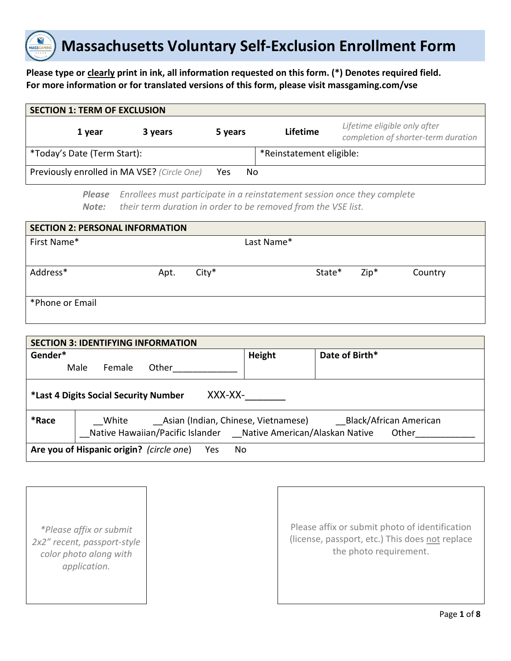

#### **Please type or clearly print in ink, all information requested on this form. (\*) Denotes required field. For more information or for translated versions of this form, please visit massgaming.com/vse**

| <b>SECTION 1: TERM OF EXCLUSION</b>         |         |         |                          |                                                                     |  |  |
|---------------------------------------------|---------|---------|--------------------------|---------------------------------------------------------------------|--|--|
| 1 year                                      | 3 years | 5 years | Lifetime                 | Lifetime eligible only after<br>completion of shorter-term duration |  |  |
| *Today's Date (Term Start):                 |         |         | *Reinstatement eligible: |                                                                     |  |  |
| Previously enrolled in MA VSE? (Circle One) |         | Yes     | No                       |                                                                     |  |  |

*Enrollees must participate in a reinstatement session once they complete their term duration in order to be removed from the VSE list. Please Note:*

| <b>SECTION 2: PERSONAL INFORMATION</b> |      |         |            |        |        |         |
|----------------------------------------|------|---------|------------|--------|--------|---------|
| First Name*                            |      |         | Last Name* |        |        |         |
|                                        |      |         |            |        |        |         |
| Address*                               | Apt. | $City*$ |            | State* | $Zip*$ | Country |
|                                        |      |         |            |        |        |         |
| *Phone or Email                        |      |         |            |        |        |         |
|                                        |      |         |            |        |        |         |

| <b>SECTION 3: IDENTIFYING INFORMATION</b>              |                |       |  |                                                                 |                                                                     |
|--------------------------------------------------------|----------------|-------|--|-----------------------------------------------------------------|---------------------------------------------------------------------|
| Gender*                                                |                |       |  | Height                                                          | Date of Birth*                                                      |
|                                                        | Male<br>Female | Other |  |                                                                 |                                                                     |
| XXX-XX-<br>*Last 4 Digits Social Security Number       |                |       |  |                                                                 |                                                                     |
| *Race                                                  | White          |       |  | Native Hawaiian/Pacific Islander Native American/Alaskan Native | Asian (Indian, Chinese, Vietnamese) Black/African American<br>Other |
| Are you of Hispanic origin? (circle one)<br>Yes<br>No. |                |       |  |                                                                 |                                                                     |

*\*Please affix or submit 2x2" recent, passport-style color photo along with application.*

Please affix or submit photo of identification (license, passport, etc.) This does not replace the photo requirement.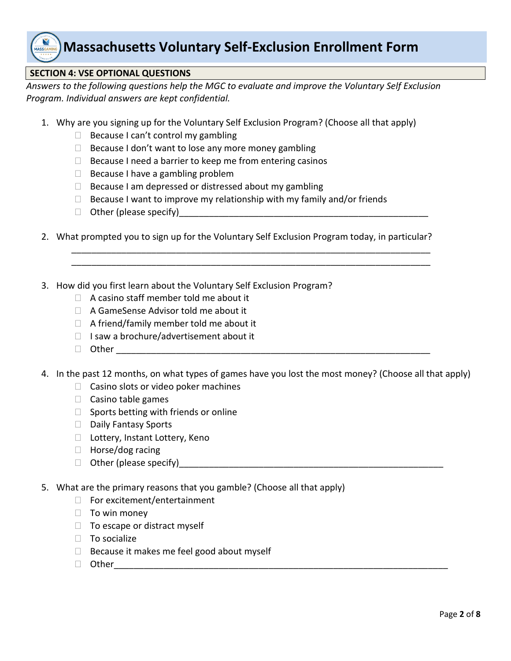

#### **SECTION 4: VSE OPTIONAL QUESTIONS**

*Answers to the following questions help the MGC to evaluate and improve the Voluntary Self Exclusion Program. Individual answers are kept confidential.* 

- 1. Why are you signing up for the Voluntary Self Exclusion Program? (Choose all that apply)
	- $\Box$  Because I can't control my gambling
	- $\Box$  Because I don't want to lose any more money gambling
	- $\Box$  Because I need a barrier to keep me from entering casinos
	- $\Box$  Because I have a gambling problem
	- $\Box$  Because I am depressed or distressed about my gambling
	- $\Box$  Because I want to improve my relationship with my family and/or friends
	- $\Box$  Other (please specify)
- 2. What prompted you to sign up for the Voluntary Self Exclusion Program today, in particular?

\_\_\_\_\_\_\_\_\_\_\_\_\_\_\_\_\_\_\_\_\_\_\_\_\_\_\_\_\_\_\_\_\_\_\_\_\_\_\_\_\_\_\_\_\_\_\_\_\_\_\_\_\_\_\_\_\_\_\_\_\_\_\_\_\_\_\_\_\_\_\_\_ \_\_\_\_\_\_\_\_\_\_\_\_\_\_\_\_\_\_\_\_\_\_\_\_\_\_\_\_\_\_\_\_\_\_\_\_\_\_\_\_\_\_\_\_\_\_\_\_\_\_\_\_\_\_\_\_\_\_\_\_\_\_\_\_\_\_\_\_\_\_\_\_

- 3. How did you first learn about the Voluntary Self Exclusion Program?
	- $\Box$  A casino staff member told me about it
	- □ A GameSense Advisor told me about it
	- $\Box$  A friend/family member told me about it
	- $\Box$  I saw a brochure/advertisement about it
	- $\Box$  Other  $\Box$
- 4. In the past 12 months, on what types of games have you lost the most money? (Choose all that apply)
	- $\Box$  Casino slots or video poker machines
	- $\Box$  Casino table games
	- $\Box$  Sports betting with friends or online
	- $\Box$  Daily Fantasy Sports
	- □ Lottery, Instant Lottery, Keno
	- $\Box$  Horse/dog racing
	- $\Box$  Other (please specify)
- 5. What are the primary reasons that you gamble? (Choose all that apply)
	- □ For excitement/entertainment
	- $\Box$  To win money
	- $\Box$  To escape or distract myself
	- $\Box$  To socialize
	- $\Box$  Because it makes me feel good about myself
	- $\Box$  Other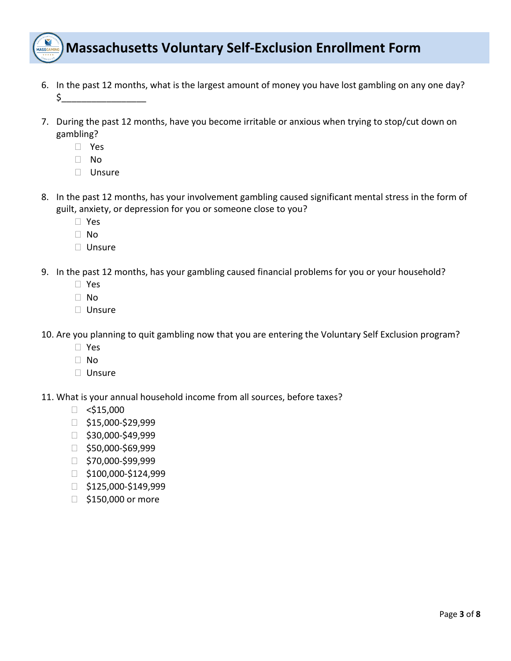

- 6. In the past 12 months, what is the largest amount of money you have lost gambling on any one day? \$\_\_\_\_\_\_\_\_\_\_\_\_\_\_\_\_\_
- 7. During the past 12 months, have you become irritable or anxious when trying to stop/cut down on gambling?
	- Yes
	- No
	- Unsure
- 8. In the past 12 months, has your involvement gambling caused significant mental stress in the form of guilt, anxiety, or depression for you or someone close to you?
	- Yes
	- No
	- $\Box$  Unsure
- 9. In the past 12 months, has your gambling caused financial problems for you or your household?
	- Yes
	- □ No
	- □ Unsure

10. Are you planning to quit gambling now that you are entering the Voluntary Self Exclusion program?

- Yes
- No
- □ Unsure

11. What is your annual household income from all sources, before taxes?

- $\Box$  <\$15,000
- $\Box$ \$15,000-\$29,999
- $\Box$ \$30,000-\$49,999
- $\Box$ \$50,000-\$69,999
- $\Box$ \$70,000-\$99,999
- $\Box$  \$100,000-\$124,999
- $\Box$  \$125,000-\$149,999
- □ \$150,000 or more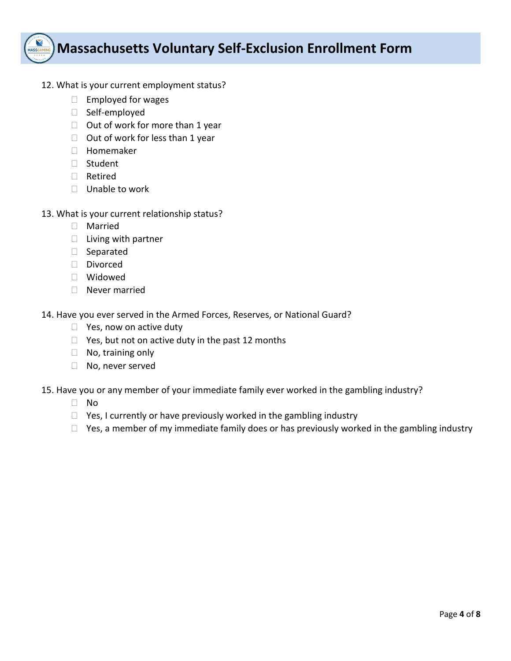

- 12. What is your current employment status?
	- $\Box$  Employed for wages
	- Self-employed
	- $\Box$  Out of work for more than 1 year
	- $\Box$  Out of work for less than 1 year
	- Homemaker
	- Student
	- Retired
	- □ Unable to work
- 13. What is your current relationship status?
	- Married
	- $\Box$  Living with partner
	- Separated
	- Divorced
	- Widowed
	- Never married

14. Have you ever served in the Armed Forces, Reserves, or National Guard?

- $\Box$  Yes, now on active duty
- $\Box$  Yes, but not on active duty in the past 12 months
- $\Box$  No, training only
- □ No, never served
- 15. Have you or any member of your immediate family ever worked in the gambling industry?
	- No
	- $\Box$  Yes, I currently or have previously worked in the gambling industry
	- $\Box$  Yes, a member of my immediate family does or has previously worked in the gambling industry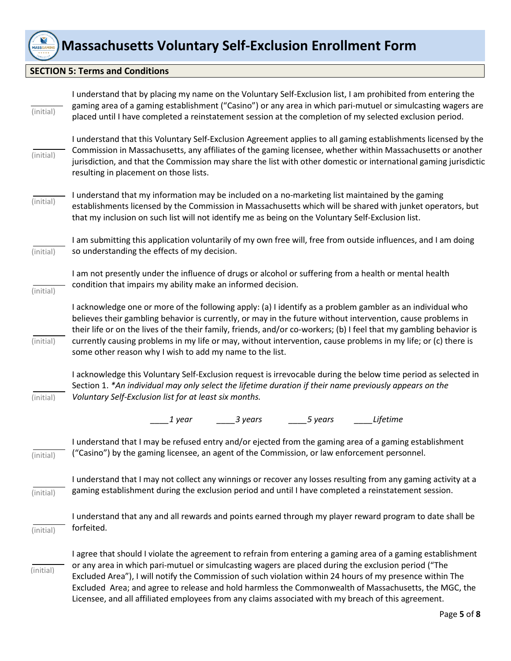

#### **SECTION 5: Terms and Conditions**

| (initial) | I understand that by placing my name on the Voluntary Self-Exclusion list, I am prohibited from entering the<br>gaming area of a gaming establishment ("Casino") or any area in which pari-mutuel or simulcasting wagers are<br>placed until I have completed a reinstatement session at the completion of my selected exclusion period.                                                                                                                                                                                                          |
|-----------|---------------------------------------------------------------------------------------------------------------------------------------------------------------------------------------------------------------------------------------------------------------------------------------------------------------------------------------------------------------------------------------------------------------------------------------------------------------------------------------------------------------------------------------------------|
| (initial) | I understand that this Voluntary Self-Exclusion Agreement applies to all gaming establishments licensed by the<br>Commission in Massachusetts, any affiliates of the gaming licensee, whether within Massachusetts or another<br>jurisdiction, and that the Commission may share the list with other domestic or international gaming jurisdictic<br>resulting in placement on those lists.                                                                                                                                                       |
| (initial) | I understand that my information may be included on a no-marketing list maintained by the gaming<br>establishments licensed by the Commission in Massachusetts which will be shared with junket operators, but<br>that my inclusion on such list will not identify me as being on the Voluntary Self-Exclusion list.                                                                                                                                                                                                                              |
| (initial) | I am submitting this application voluntarily of my own free will, free from outside influences, and I am doing<br>so understanding the effects of my decision.                                                                                                                                                                                                                                                                                                                                                                                    |
| (initial) | I am not presently under the influence of drugs or alcohol or suffering from a health or mental health<br>condition that impairs my ability make an informed decision.                                                                                                                                                                                                                                                                                                                                                                            |
| (initial) | I acknowledge one or more of the following apply: (a) I identify as a problem gambler as an individual who<br>believes their gambling behavior is currently, or may in the future without intervention, cause problems in<br>their life or on the lives of the their family, friends, and/or co-workers; (b) I feel that my gambling behavior is<br>currently causing problems in my life or may, without intervention, cause problems in my life; or (c) there is<br>some other reason why I wish to add my name to the list.                    |
| (initial) | I acknowledge this Voluntary Self-Exclusion request is irrevocable during the below time period as selected in<br>Section 1. *An individual may only select the lifetime duration if their name previously appears on the<br>Voluntary Self-Exclusion list for at least six months.                                                                                                                                                                                                                                                               |
|           | 1 year<br>$\frac{3 \text{ years}}{2}$<br>$\frac{5 \text{ years}}{2}$<br>Lifetime                                                                                                                                                                                                                                                                                                                                                                                                                                                                  |
| (initial) | I understand that I may be refused entry and/or ejected from the gaming area of a gaming establishment<br>("Casino") by the gaming licensee, an agent of the Commission, or law enforcement personnel.                                                                                                                                                                                                                                                                                                                                            |
| (initial) | I understand that I may not collect any winnings or recover any losses resulting from any gaming activity at a<br>gaming establishment during the exclusion period and until I have completed a reinstatement session.                                                                                                                                                                                                                                                                                                                            |
| (initial) | I understand that any and all rewards and points earned through my player reward program to date shall be<br>forfeited.                                                                                                                                                                                                                                                                                                                                                                                                                           |
| (initial) | I agree that should I violate the agreement to refrain from entering a gaming area of a gaming establishment<br>or any area in which pari-mutuel or simulcasting wagers are placed during the exclusion period ("The<br>Excluded Area"), I will notify the Commission of such violation within 24 hours of my presence within The<br>Excluded Area; and agree to release and hold harmless the Commonwealth of Massachusetts, the MGC, the<br>Licensee, and all affiliated employees from any claims associated with my breach of this agreement. |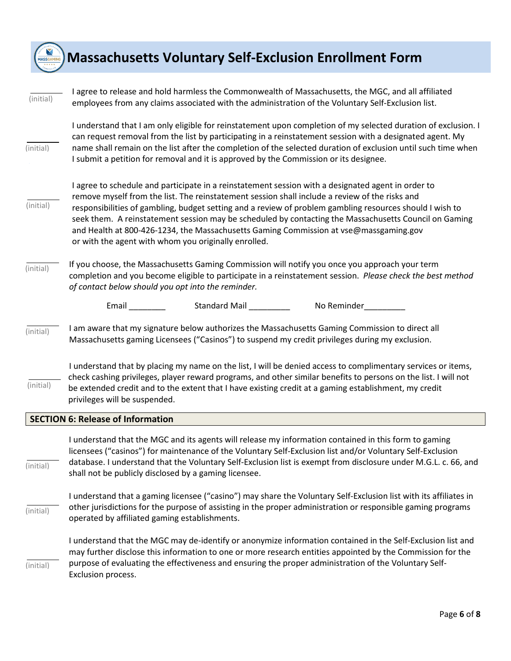

| (initial) | I agree to release and hold harmless the Commonwealth of Massachusetts, the MGC, and all affiliated<br>employees from any claims associated with the administration of the Voluntary Self-Exclusion list.                                                                                                                                                                                                                                                                                                                                                                  |
|-----------|----------------------------------------------------------------------------------------------------------------------------------------------------------------------------------------------------------------------------------------------------------------------------------------------------------------------------------------------------------------------------------------------------------------------------------------------------------------------------------------------------------------------------------------------------------------------------|
| (initial) | I understand that I am only eligible for reinstatement upon completion of my selected duration of exclusion. I<br>can request removal from the list by participating in a reinstatement session with a designated agent. My<br>name shall remain on the list after the completion of the selected duration of exclusion until such time when<br>I submit a petition for removal and it is approved by the Commission or its designee.                                                                                                                                      |
| (initial) | I agree to schedule and participate in a reinstatement session with a designated agent in order to<br>remove myself from the list. The reinstatement session shall include a review of the risks and<br>responsibilities of gambling, budget setting and a review of problem gambling resources should I wish to<br>seek them. A reinstatement session may be scheduled by contacting the Massachusetts Council on Gaming<br>and Health at 800-426-1234, the Massachusetts Gaming Commission at vse@massgaming.gov<br>or with the agent with whom you originally enrolled. |
| (initial) | If you choose, the Massachusetts Gaming Commission will notify you once you approach your term<br>completion and you become eligible to participate in a reinstatement session. Please check the best method<br>of contact below should you opt into the reminder.                                                                                                                                                                                                                                                                                                         |
|           | Standard Mail _________<br>Email<br>No Reminder                                                                                                                                                                                                                                                                                                                                                                                                                                                                                                                            |
| (initial) | I am aware that my signature below authorizes the Massachusetts Gaming Commission to direct all<br>Massachusetts gaming Licensees ("Casinos") to suspend my credit privileges during my exclusion.                                                                                                                                                                                                                                                                                                                                                                         |
| (initial) | I understand that by placing my name on the list, I will be denied access to complimentary services or items,<br>check cashing privileges, player reward programs, and other similar benefits to persons on the list. I will not<br>be extended credit and to the extent that I have existing credit at a gaming establishment, my credit<br>privileges will be suspended.                                                                                                                                                                                                 |
|           | <b>SECTION 6: Release of Information</b>                                                                                                                                                                                                                                                                                                                                                                                                                                                                                                                                   |
| (initial) | I understand that the MGC and its agents will release my information contained in this form to gaming<br>licensees ("casinos") for maintenance of the Voluntary Self-Exclusion list and/or Voluntary Self-Exclusion<br>database. I understand that the Voluntary Self-Exclusion list is exempt from disclosure under M.G.L. c. 66, and<br>shall not be publicly disclosed by a gaming licensee.                                                                                                                                                                            |
| (initial) | I understand that a gaming licensee ("casino") may share the Voluntary Self-Exclusion list with its affiliates in<br>other jurisdictions for the purpose of assisting in the proper administration or responsible gaming programs<br>operated by affiliated gaming establishments.                                                                                                                                                                                                                                                                                         |
| (initial) | I understand that the MGC may de-identify or anonymize information contained in the Self-Exclusion list and<br>may further disclose this information to one or more research entities appointed by the Commission for the<br>purpose of evaluating the effectiveness and ensuring the proper administration of the Voluntary Self-<br>Exclusion process.                                                                                                                                                                                                                   |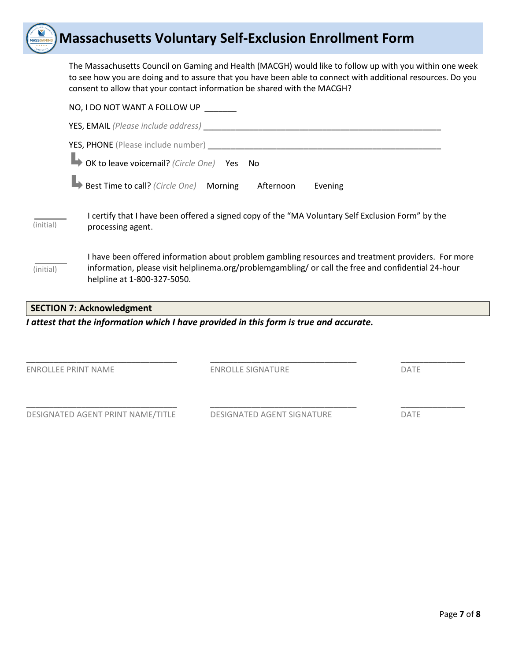The Massachusetts Council on Gaming and Health (MACGH) would like to follow up with you within one week to see how you are doing and to assure that you have been able to connect with additional resources. Do you consent to allow that your contact information be shared with the MACGH?

|           | NO, I DO NOT WANT A FOLLOW UP                                                                                                                                                                                                            |
|-----------|------------------------------------------------------------------------------------------------------------------------------------------------------------------------------------------------------------------------------------------|
|           |                                                                                                                                                                                                                                          |
|           | <b>YES, PHONE</b> (Please include number)                                                                                                                                                                                                |
|           | OK to leave voicemail? (Circle One) Yes No                                                                                                                                                                                               |
|           | Best Time to call? (Circle One) Morning Afternoon<br>Evening                                                                                                                                                                             |
| (initial) | I certify that I have been offered a signed copy of the "MA Voluntary Self Exclusion Form" by the<br>processing agent.                                                                                                                   |
| (initial) | I have been offered information about problem gambling resources and treatment providers. For more<br>information, please visit helplinema.org/problemgambling/ or call the free and confidential 24-hour<br>helpline at 1-800-327-5050. |
|           |                                                                                                                                                                                                                                          |

#### **SECTION 7: Acknowledgment**

#### *I attest that the information which I have provided in this form is true and accurate.*

ENROLLEE PRINT NAME ENROLLE SIGNATURE DATE

\_\_\_\_\_\_\_\_\_\_\_\_\_\_\_\_\_\_\_\_\_\_\_\_\_\_\_\_\_\_\_\_\_ \_\_\_\_\_\_\_\_\_\_\_\_\_\_\_\_\_\_\_\_\_\_\_\_\_\_\_\_\_\_\_\_ \_\_\_\_\_\_\_\_\_\_\_\_\_\_

DESIGNATED AGENT PRINT NAME/TITLE DESIGNATED AGENT SIGNATURE DATE

\_\_\_\_\_\_\_\_\_\_\_\_\_\_\_\_\_\_\_\_\_\_\_\_\_\_\_\_\_\_\_\_\_ \_\_\_\_\_\_\_\_\_\_\_\_\_\_\_\_\_\_\_\_\_\_\_\_\_\_\_\_\_\_\_\_ \_\_\_\_\_\_\_\_\_\_\_\_\_\_